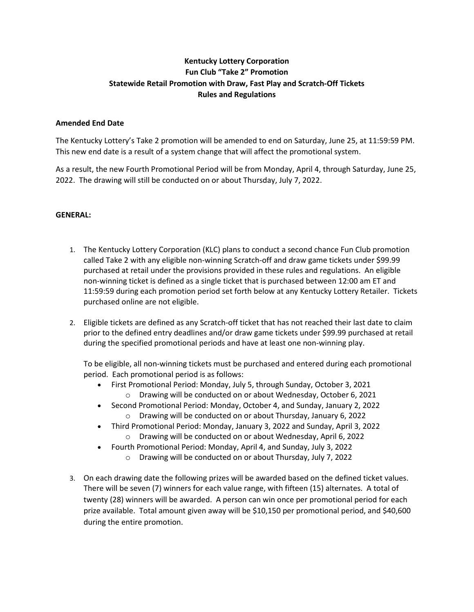# **Kentucky Lottery Corporation Fun Club "Take 2" Promotion Statewide Retail Promotion with Draw, Fast Play and Scratch-Off Tickets Rules and Regulations**

### **Amended End Date**

The Kentucky Lottery's Take 2 promotion will be amended to end on Saturday, June 25, at 11:59:59 PM. This new end date is a result of a system change that will affect the promotional system.

As a result, the new Fourth Promotional Period will be from Monday, April 4, through Saturday, June 25, 2022. The drawing will still be conducted on or about Thursday, July 7, 2022.

### **GENERAL:**

- 1. The Kentucky Lottery Corporation (KLC) plans to conduct a second chance Fun Club promotion called Take 2 with any eligible non-winning Scratch-off and draw game tickets under \$99.99 purchased at retail under the provisions provided in these rules and regulations. An eligible non-winning ticket is defined as a single ticket that is purchased between 12:00 am ET and 11:59:59 during each promotion period set forth below at any Kentucky Lottery Retailer. Tickets purchased online are not eligible.
- 2. Eligible tickets are defined as any Scratch-off ticket that has not reached their last date to claim prior to the defined entry deadlines and/or draw game tickets under \$99.99 purchased at retail during the specified promotional periods and have at least one non-winning play.

To be eligible, all non-winning tickets must be purchased and entered during each promotional period. Each promotional period is as follows:

- First Promotional Period: Monday, July 5, through Sunday, October 3, 2021 o Drawing will be conducted on or about Wednesday, October 6, 2021
- Second Promotional Period: Monday, October 4, and Sunday, January 2, 2022
	- o Drawing will be conducted on or about Thursday, January 6, 2022
- Third Promotional Period: Monday, January 3, 2022 and Sunday, April 3, 2022
	- o Drawing will be conducted on or about Wednesday, April 6, 2022
- Fourth Promotional Period: Monday, April 4, and Sunday, July 3, 2022
	- o Drawing will be conducted on or about Thursday, July 7, 2022
- 3. On each drawing date the following prizes will be awarded based on the defined ticket values. There will be seven (7) winners for each value range, with fifteen (15) alternates. A total of twenty (28) winners will be awarded. A person can win once per promotional period for each prize available. Total amount given away will be \$10,150 per promotional period, and \$40,600 during the entire promotion.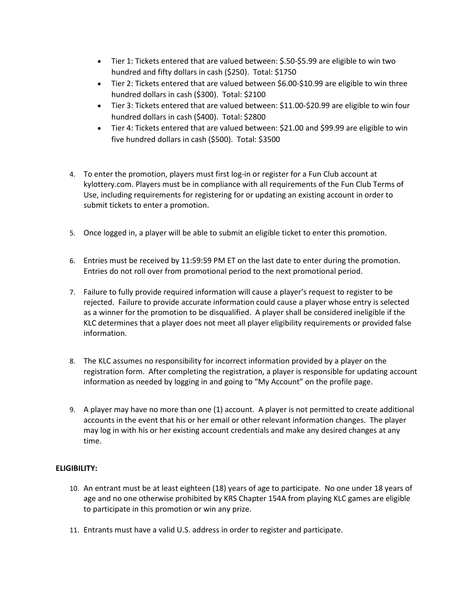- Tier 1: Tickets entered that are valued between: \$.50-\$5.99 are eligible to win two hundred and fifty dollars in cash (\$250). Total: \$1750
- Tier 2: Tickets entered that are valued between \$6.00-\$10.99 are eligible to win three hundred dollars in cash (\$300). Total: \$2100
- Tier 3: Tickets entered that are valued between: \$11.00-\$20.99 are eligible to win four hundred dollars in cash (\$400). Total: \$2800
- Tier 4: Tickets entered that are valued between: \$21.00 and \$99.99 are eligible to win five hundred dollars in cash (\$500). Total: \$3500
- 4. To enter the promotion, players must first log-in or register for a Fun Club account at kylottery.com. Players must be in compliance with all requirements of the Fun Club Terms of Use, including requirements for registering for or updating an existing account in order to submit tickets to enter a promotion.
- 5. Once logged in, a player will be able to submit an eligible ticket to enter this promotion.
- 6. Entries must be received by 11:59:59 PM ET on the last date to enter during the promotion. Entries do not roll over from promotional period to the next promotional period.
- 7. Failure to fully provide required information will cause a player's request to register to be rejected. Failure to provide accurate information could cause a player whose entry is selected as a winner for the promotion to be disqualified. A player shall be considered ineligible if the KLC determines that a player does not meet all player eligibility requirements or provided false information.
- 8. The KLC assumes no responsibility for incorrect information provided by a player on the registration form. After completing the registration, a player is responsible for updating account information as needed by logging in and going to "My Account" on the profile page.
- 9. A player may have no more than one (1) account. A player is not permitted to create additional accounts in the event that his or her email or other relevant information changes. The player may log in with his or her existing account credentials and make any desired changes at any time.

## **ELIGIBILITY:**

- 10. An entrant must be at least eighteen (18) years of age to participate. No one under 18 years of age and no one otherwise prohibited by KRS Chapter 154A from playing KLC games are eligible to participate in this promotion or win any prize.
- 11. Entrants must have a valid U.S. address in order to register and participate.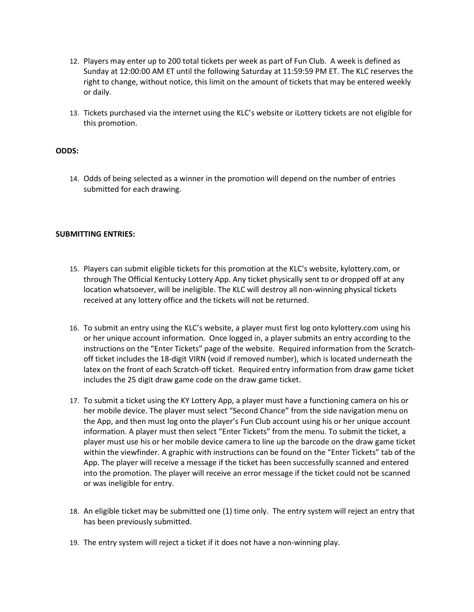- 12. Players may enter up to 200 total tickets per week as part of Fun Club. A week is defined as Sunday at 12:00:00 AM ET until the following Saturday at 11:59:59 PM ET. The KLC reserves the right to change, without notice, this limit on the amount of tickets that may be entered weekly or daily.
- 13. Tickets purchased via the internet using the KLC's website or iLottery tickets are not eligible for this promotion.

#### **ODDS:**

14. Odds of being selected as a winner in the promotion will depend on the number of entries submitted for each drawing.

#### **SUBMITTING ENTRIES:**

- 15. Players can submit eligible tickets for this promotion at the KLC's website, kylottery.com, or through The Official Kentucky Lottery App. Any ticket physically sent to or dropped off at any location whatsoever, will be ineligible. The KLC will destroy all non-winning physical tickets received at any lottery office and the tickets will not be returned.
- 16. To submit an entry using the KLC's website, a player must first log onto kylottery.com using his or her unique account information. Once logged in, a player submits an entry according to the instructions on the "Enter Tickets" page of the website. Required information from the Scratchoff ticket includes the 18-digit VIRN (void if removed number), which is located underneath the latex on the front of each Scratch-off ticket. Required entry information from draw game ticket includes the 25 digit draw game code on the draw game ticket.
- 17. To submit a ticket using the KY Lottery App, a player must have a functioning camera on his or her mobile device. The player must select "Second Chance" from the side navigation menu on the App, and then must log onto the player's Fun Club account using his or her unique account information. A player must then select "Enter Tickets" from the menu. To submit the ticket, a player must use his or her mobile device camera to line up the barcode on the draw game ticket within the viewfinder. A graphic with instructions can be found on the "Enter Tickets" tab of the App. The player will receive a message if the ticket has been successfully scanned and entered into the promotion. The player will receive an error message if the ticket could not be scanned or was ineligible for entry.
- 18. An eligible ticket may be submitted one (1) time only. The entry system will reject an entry that has been previously submitted.
- 19. The entry system will reject a ticket if it does not have a non-winning play.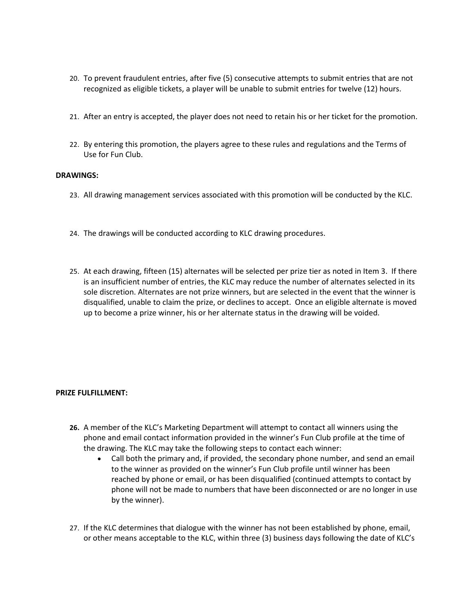- 20. To prevent fraudulent entries, after five (5) consecutive attempts to submit entries that are not recognized as eligible tickets, a player will be unable to submit entries for twelve (12) hours.
- 21. After an entry is accepted, the player does not need to retain his or her ticket for the promotion.
- 22. By entering this promotion, the players agree to these rules and regulations and the Terms of Use for Fun Club.

#### **DRAWINGS:**

- 23. All drawing management services associated with this promotion will be conducted by the KLC.
- 24. The drawings will be conducted according to KLC drawing procedures.
- 25. At each drawing, fifteen (15) alternates will be selected per prize tier as noted in Item 3. If there is an insufficient number of entries, the KLC may reduce the number of alternates selected in its sole discretion. Alternates are not prize winners, but are selected in the event that the winner is disqualified, unable to claim the prize, or declines to accept. Once an eligible alternate is moved up to become a prize winner, his or her alternate status in the drawing will be voided.

#### **PRIZE FULFILLMENT:**

- **26.** A member of the KLC's Marketing Department will attempt to contact all winners using the phone and email contact information provided in the winner's Fun Club profile at the time of the drawing. The KLC may take the following steps to contact each winner:
	- Call both the primary and, if provided, the secondary phone number, and send an email to the winner as provided on the winner's Fun Club profile until winner has been reached by phone or email, or has been disqualified (continued attempts to contact by phone will not be made to numbers that have been disconnected or are no longer in use by the winner).
- 27. If the KLC determines that dialogue with the winner has not been established by phone, email, or other means acceptable to the KLC, within three (3) business days following the date of KLC's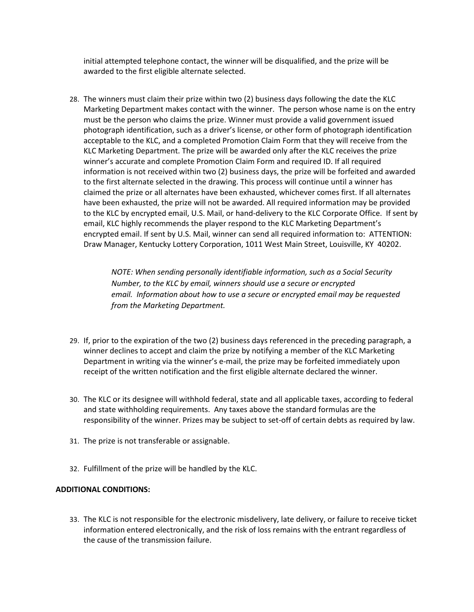initial attempted telephone contact, the winner will be disqualified, and the prize will be awarded to the first eligible alternate selected.

28. The winners must claim their prize within two (2) business days following the date the KLC Marketing Department makes contact with the winner. The person whose name is on the entry must be the person who claims the prize. Winner must provide a valid government issued photograph identification, such as a driver's license, or other form of photograph identification acceptable to the KLC, and a completed Promotion Claim Form that they will receive from the KLC Marketing Department. The prize will be awarded only after the KLC receives the prize winner's accurate and complete Promotion Claim Form and required ID. If all required information is not received within two (2) business days, the prize will be forfeited and awarded to the first alternate selected in the drawing. This process will continue until a winner has claimed the prize or all alternates have been exhausted, whichever comes first. If all alternates have been exhausted, the prize will not be awarded. All required information may be provided to the KLC by encrypted email, U.S. Mail, or hand-delivery to the KLC Corporate Office. If sent by email, KLC highly recommends the player respond to the KLC Marketing Department's encrypted email. If sent by U.S. Mail, winner can send all required information to: ATTENTION: Draw Manager, Kentucky Lottery Corporation, 1011 West Main Street, Louisville, KY 40202.

> *NOTE: When sending personally identifiable information, such as a Social Security Number, to the KLC by email, winners should use a secure or encrypted email. Information about how to use a secure or encrypted email may be requested from the Marketing Department.*

- 29. If, prior to the expiration of the two (2) business days referenced in the preceding paragraph, a winner declines to accept and claim the prize by notifying a member of the KLC Marketing Department in writing via the winner's e-mail, the prize may be forfeited immediately upon receipt of the written notification and the first eligible alternate declared the winner.
- 30. The KLC or its designee will withhold federal, state and all applicable taxes, according to federal and state withholding requirements. Any taxes above the standard formulas are the responsibility of the winner. Prizes may be subject to set-off of certain debts as required by law.
- 31. The prize is not transferable or assignable.
- 32. Fulfillment of the prize will be handled by the KLC.

### **ADDITIONAL CONDITIONS:**

33. The KLC is not responsible for the electronic misdelivery, late delivery, or failure to receive ticket information entered electronically, and the risk of loss remains with the entrant regardless of the cause of the transmission failure.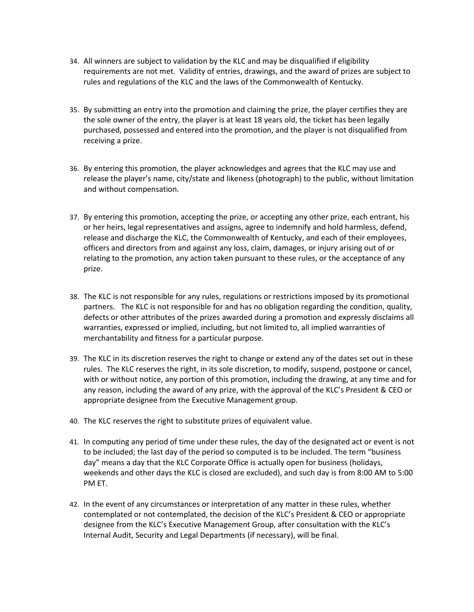- 34. All winners are subject to validation by the KLC and may be disqualified if eligibility requirements are not met. Validity of entries, drawings, and the award of prizes are subject to rules and regulations of the KLC and the laws of the Commonwealth of Kentucky.
- 35. By submitting an entry into the promotion and claiming the prize, the player certifies they are the sole owner of the entry, the player is at least 18 years old, the ticket has been legally purchased, possessed and entered into the promotion, and the player is not disqualified from receiving a prize.
- 36. By entering this promotion, the player acknowledges and agrees that the KLC may use and release the player's name, city/state and likeness (photograph) to the public, without limitation and without compensation.
- 37. By entering this promotion, accepting the prize, or accepting any other prize, each entrant, his or her heirs, legal representatives and assigns, agree to indemnify and hold harmless, defend, release and discharge the KLC, the Commonwealth of Kentucky, and each of their employees, officers and directors from and against any loss, claim, damages, or injury arising out of or relating to the promotion, any action taken pursuant to these rules, or the acceptance of any prize.
- 38. The KLC is not responsible for any rules, regulations or restrictions imposed by its promotional partners. The KLC is not responsible for and has no obligation regarding the condition, quality, defects or other attributes of the prizes awarded during a promotion and expressly disclaims all warranties, expressed or implied, including, but not limited to, all implied warranties of merchantability and fitness for a particular purpose.
- 39. The KLC in its discretion reserves the right to change or extend any of the dates set out in these rules. The KLC reserves the right, in its sole discretion, to modify, suspend, postpone or cancel, with or without notice, any portion of this promotion, including the drawing, at any time and for any reason, including the award of any prize, with the approval of the KLC's President & CEO or appropriate designee from the Executive Management group.
- 40. The KLC reserves the right to substitute prizes of equivalent value.
- 41. In computing any period of time under these rules, the day of the designated act or event is not to be included; the last day of the period so computed is to be included. The term "business day" means a day that the KLC Corporate Office is actually open for business (holidays, weekends and other days the KLC is closed are excluded), and such day is from 8:00 AM to 5:00 PM ET.
- 42. In the event of any circumstances or interpretation of any matter in these rules, whether contemplated or not contemplated, the decision of the KLC's President & CEO or appropriate designee from the KLC's Executive Management Group, after consultation with the KLC's Internal Audit, Security and Legal Departments (if necessary), will be final.